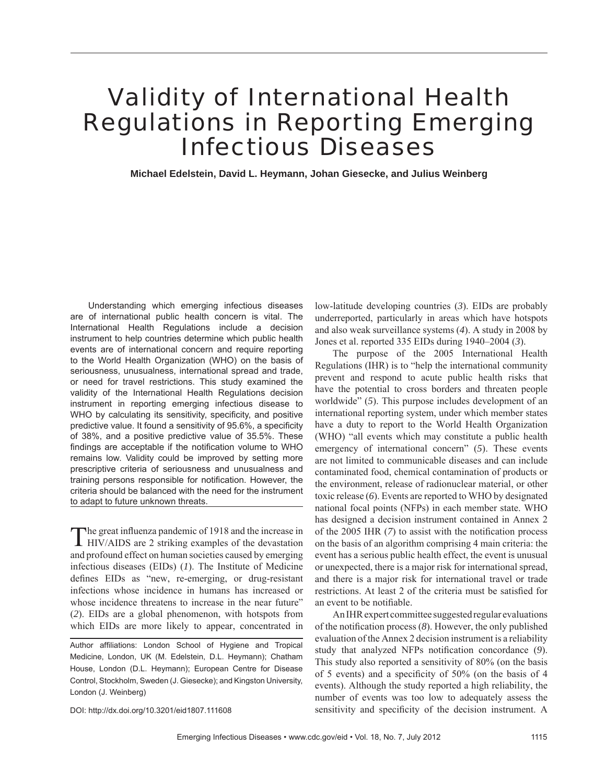# Validity of International Health Regulations in Reporting Emerging Infectious Diseases

**Michael Edelstein, David L. Heymann, Johan Giesecke, and Julius Weinberg**

Understanding which emerging infectious diseases are of international public health concern is vital. The International Health Regulations include a decision instrument to help countries determine which public health events are of international concern and require reporting to the World Health Organization (WHO) on the basis of seriousness, unusualness, international spread and trade, or need for travel restrictions. This study examined the validity of the International Health Regulations decision instrument in reporting emerging infectious disease to WHO by calculating its sensitivity, specificity, and positive predictive value. It found a sensitivity of 95.6%, a specificity of 38%, and a positive predictive value of 35.5%. These findings are acceptable if the notification volume to WHO remains low. Validity could be improved by setting more prescriptive criteria of seriousness and unusualness and training persons responsible for notification. However, the criteria should be balanced with the need for the instrument to adapt to future unknown threats.

The great influenza pandemic of 1918 and the increase in HIV/AIDS are 2 striking examples of the devastation and profound effect on human societies caused by emerging infectious diseases (EIDs) (*1*). The Institute of Medicine defines EIDs as "new, re-emerging, or drug-resistant infections whose incidence in humans has increased or whose incidence threatens to increase in the near future" (*2*). EIDs are a global phenomenon, with hotspots from which EIDs are more likely to appear, concentrated in

Author affiliations: London School of Hygiene and Tropical Medicine, London, UK (M. Edelstein, D.L. Heymann); Chatham House, London (D.L. Heymann); European Centre for Disease Control, Stockholm, Sweden (J. Giesecke); and Kingston University, London (J. Weinberg)

low-latitude developing countries (*3*). EIDs are probably underreported, particularly in areas which have hotspots and also weak surveillance systems (*4*). A study in 2008 by Jones et al. reported 335 EIDs during 1940–2004 (*3*).

The purpose of the 2005 International Health Regulations (IHR) is to "help the international community prevent and respond to acute public health risks that have the potential to cross borders and threaten people worldwide" (*5*). This purpose includes development of an international reporting system, under which member states have a duty to report to the World Health Organization (WHO) "all events which may constitute a public health emergency of international concern" (*5*). These events are not limited to communicable diseases and can include contaminated food, chemical contamination of products or the environment, release of radionuclear material, or other toxic release (*6*). Events are reported to WHO by designated national focal points (NFPs) in each member state. WHO has designed a decision instrument contained in Annex 2 of the 2005 IHR (7) to assist with the notification process on the basis of an algorithm comprising 4 main criteria: the event has a serious public health effect, the event is unusual or unexpected, there is a major risk for international spread, and there is a major risk for international travel or trade restrictions. At least 2 of the criteria must be satisfied for an event to be notifiable.

An IHR expert committee suggested regular evaluations of the notification process  $(8)$ . However, the only published evaluation of the Annex 2 decision instrument is a reliability study that analyzed NFPs notification concordance (9). This study also reported a sensitivity of 80% (on the basis of 5 events) and a specificity of  $50\%$  (on the basis of 4 events). Although the study reported a high reliability, the number of events was too low to adequately assess the sensitivity and specificity of the decision instrument. A

DOI: http://dx.doi.org/10.3201/eid1807.111608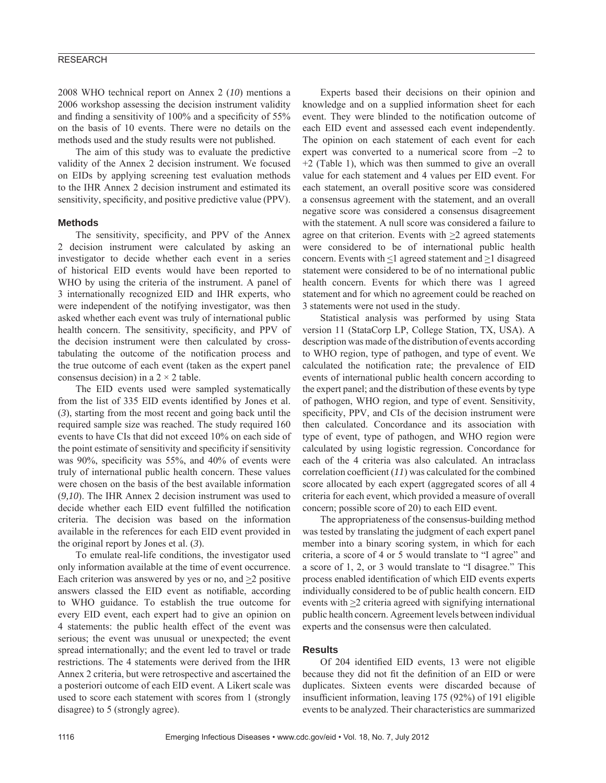## **RESEARCH**

2008 WHO technical report on Annex 2 (*10*) mentions a 2006 workshop assessing the decision instrument validity and finding a sensitivity of  $100\%$  and a specificity of  $55\%$ on the basis of 10 events. There were no details on the methods used and the study results were not published.

The aim of this study was to evaluate the predictive validity of the Annex 2 decision instrument. We focused on EIDs by applying screening test evaluation methods to the IHR Annex 2 decision instrument and estimated its sensitivity, specificity, and positive predictive value (PPV).

### **Methods**

The sensitivity, specificity, and PPV of the Annex 2 decision instrument were calculated by asking an investigator to decide whether each event in a series of historical EID events would have been reported to WHO by using the criteria of the instrument. A panel of 3 internationally recognized EID and IHR experts, who were independent of the notifying investigator, was then asked whether each event was truly of international public health concern. The sensitivity, specificity, and PPV of the decision instrument were then calculated by crosstabulating the outcome of the notification process and the true outcome of each event (taken as the expert panel consensus decision) in a  $2 \times 2$  table.

The EID events used were sampled systematically from the list of 335 EID events identified by Jones et al. (*3*), starting from the most recent and going back until the required sample size was reached. The study required 160 events to have CIs that did not exceed 10% on each side of the point estimate of sensitivity and specificity if sensitivity was  $90\%$ , specificity was  $55\%$ , and  $40\%$  of events were truly of international public health concern. These values were chosen on the basis of the best available information (*9,10*). The IHR Annex 2 decision instrument was used to decide whether each EID event fulfilled the notification criteria. The decision was based on the information available in the references for each EID event provided in the original report by Jones et al. (*3*).

To emulate real-life conditions, the investigator used only information available at the time of event occurrence. Each criterion was answered by yes or no, and  $\geq 2$  positive answers classed the EID event as notifiable, according to WHO guidance. To establish the true outcome for every EID event, each expert had to give an opinion on 4 statements: the public health effect of the event was serious; the event was unusual or unexpected; the event spread internationally; and the event led to travel or trade restrictions. The 4 statements were derived from the IHR Annex 2 criteria, but were retrospective and ascertained the a posteriori outcome of each EID event. A Likert scale was used to score each statement with scores from 1 (strongly disagree) to 5 (strongly agree).

Experts based their decisions on their opinion and knowledge and on a supplied information sheet for each event. They were blinded to the notification outcome of each EID event and assessed each event independently. The opinion on each statement of each event for each expert was converted to a numerical score from −2 to +2 (Table 1), which was then summed to give an overall value for each statement and 4 values per EID event. For each statement, an overall positive score was considered a consensus agreement with the statement, and an overall negative score was considered a consensus disagreement with the statement. A null score was considered a failure to agree on that criterion. Events with >2 agreed statements were considered to be of international public health concern. Events with <1 agreed statement and >1 disagreed statement were considered to be of no international public health concern. Events for which there was 1 agreed statement and for which no agreement could be reached on 3 statements were not used in the study.

Statistical analysis was performed by using Stata version 11 (StataCorp LP, College Station, TX, USA). A description was made of the distribution of events according to WHO region, type of pathogen, and type of event. We calculated the notification rate; the prevalence of EID events of international public health concern according to the expert panel; and the distribution of these events by type of pathogen, WHO region, and type of event. Sensitivity, specificity, PPV, and CIs of the decision instrument were then calculated. Concordance and its association with type of event, type of pathogen, and WHO region were calculated by using logistic regression. Concordance for each of the 4 criteria was also calculated. An intraclass correlation coefficient  $(11)$  was calculated for the combined score allocated by each expert (aggregated scores of all 4 criteria for each event, which provided a measure of overall concern; possible score of 20) to each EID event.

The appropriateness of the consensus-building method was tested by translating the judgment of each expert panel member into a binary scoring system, in which for each criteria, a score of 4 or 5 would translate to "I agree" and a score of 1, 2, or 3 would translate to "I disagree." This process enabled identification of which EID events experts individually considered to be of public health concern. EID events with >2 criteria agreed with signifying international public health concern. Agreement levels between individual experts and the consensus were then calculated.

#### **Results**

Of 204 identified EID events, 13 were not eligible because they did not fit the definition of an EID or were duplicates. Sixteen events were discarded because of insufficient information, leaving 175 (92%) of 191 eligible events to be analyzed. Their characteristics are summarized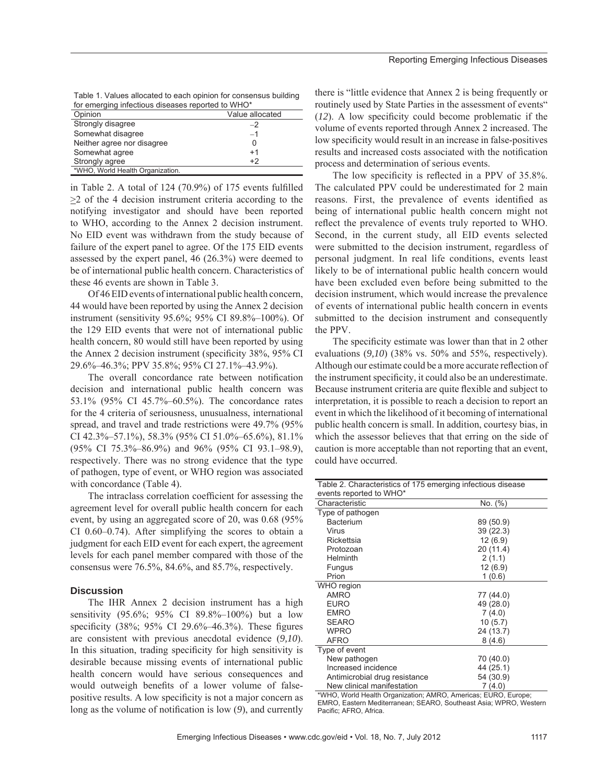Table 1. Values allocated to each opinion for consensus building for emerging infectious diseases reported to WHO\*

| Opinion                          | Value allocated |  |  |
|----------------------------------|-----------------|--|--|
| Strongly disagree                | $-2$            |  |  |
| Somewhat disagree                | $-1$            |  |  |
| Neither agree nor disagree       | 0               |  |  |
| Somewhat agree                   | $+1$            |  |  |
| Strongly agree                   | $+2$            |  |  |
| *WHO, World Health Organization. |                 |  |  |

in Table 2. A total of  $124$  (70.9%) of 175 events fulfilled >2 of the 4 decision instrument criteria according to the notifying investigator and should have been reported to WHO, according to the Annex 2 decision instrument. No EID event was withdrawn from the study because of failure of the expert panel to agree. Of the 175 EID events assessed by the expert panel, 46 (26.3%) were deemed to be of international public health concern. Characteristics of these 46 events are shown in Table 3.

Of 46 EID events of international public health concern, 44 would have been reported by using the Annex 2 decision instrument (sensitivity 95.6%; 95% CI 89.8%–100%). Of the 129 EID events that were not of international public health concern, 80 would still have been reported by using the Annex 2 decision instrument (specificity 38%, 95% CI 29.6%–46.3%; PPV 35.8%; 95% CI 27.1%–43.9%).

The overall concordance rate between notification decision and international public health concern was 53.1% (95% CI 45.7%–60.5%). The concordance rates for the 4 criteria of seriousness, unusualness, international spread, and travel and trade restrictions were 49.7% (95% CI 42.3%–57.1%), 58.3% (95% CI 51.0%–65.6%), 81.1% (95% CI 75.3%–86.9%) and 96% (95% CI 93.1–98.9), respectively. There was no strong evidence that the type of pathogen, type of event, or WHO region was associated with concordance (Table 4).

The intraclass correlation coefficient for assessing the agreement level for overall public health concern for each event, by using an aggregated score of 20, was 0.68 (95% CI 0.60–0.74). After simplifying the scores to obtain a judgment for each EID event for each expert, the agreement levels for each panel member compared with those of the consensus were 76.5%, 84.6%, and 85.7%, respectively.

### **Discussion**

The IHR Annex 2 decision instrument has a high sensitivity (95.6%; 95% CI 89.8%–100%) but a low specificity  $(38\%; 95\% \text{ CI } 29.6\% - 46.3\%)$ . These figures are consistent with previous anecdotal evidence (*9,10*). In this situation, trading specificity for high sensitivity is desirable because missing events of international public health concern would have serious consequences and would outweigh benefits of a lower volume of falsepositive results. A low specificity is not a major concern as long as the volume of notification is low (9), and currently

there is "little evidence that Annex 2 is being frequently or routinely used by State Parties in the assessment of events"  $(12)$ . A low specificity could become problematic if the volume of events reported through Annex 2 increased. The low specificity would result in an increase in false-positives results and increased costs associated with the notification process and determination of serious events.

The low specificity is reflected in a PPV of  $35.8\%$ . The calculated PPV could be underestimated for 2 main reasons. First, the prevalence of events identified as being of international public health concern might not reflect the prevalence of events truly reported to WHO. Second, in the current study, all EID events selected were submitted to the decision instrument, regardless of personal judgment. In real life conditions, events least likely to be of international public health concern would have been excluded even before being submitted to the decision instrument, which would increase the prevalence of events of international public health concern in events submitted to the decision instrument and consequently the PPV.

The specificity estimate was lower than that in 2 other evaluations (*9,10*) (38% vs. 50% and 55%, respectively). Although our estimate could be a more accurate reflection of the instrument specificity, it could also be an underestimate. Because instrument criteria are quite flexible and subject to interpretation, it is possible to reach a decision to report an event in which the likelihood of it becoming of international public health concern is small. In addition, courtesy bias, in which the assessor believes that that erring on the side of caution is more acceptable than not reporting that an event, could have occurred.

| Table 2. Characteristics of 175 emerging infectious disease |           |  |  |  |
|-------------------------------------------------------------|-----------|--|--|--|
| events reported to WHO*                                     |           |  |  |  |
| Characteristic                                              | No. (%)   |  |  |  |
| Type of pathogen                                            |           |  |  |  |
| Bacterium                                                   | 89 (50.9) |  |  |  |
| Virus                                                       | 39(22.3)  |  |  |  |
| Rickettsia                                                  | 12(6.9)   |  |  |  |
| Protozoan                                                   | 20 (11.4) |  |  |  |
| Helminth                                                    | 2(1.1)    |  |  |  |
| Fungus                                                      | 12 (6.9)  |  |  |  |
| Prion                                                       | 1(0.6)    |  |  |  |
| WHO region                                                  |           |  |  |  |
| AMRO                                                        | 77 (44.0) |  |  |  |
| <b>EURO</b>                                                 | 49 (28.0) |  |  |  |
| <b>EMRO</b>                                                 | 7(4.0)    |  |  |  |
| <b>SEARO</b>                                                | 10 (5.7)  |  |  |  |
| <b>WPRO</b>                                                 | 24 (13.7) |  |  |  |
| <b>AFRO</b>                                                 | 8(4.6)    |  |  |  |
| Type of event                                               |           |  |  |  |
| New pathogen                                                | 70 (40.0) |  |  |  |
| Increased incidence                                         | 44 (25.1) |  |  |  |
| Antimicrobial drug resistance                               | 54 (30.9) |  |  |  |
| New clinical manifestation                                  | 7 (4.0)   |  |  |  |

\*WHO, World Health Organization; AMRO, Americas; EURO, Europe; EMRO, Eastern Mediterranean; SEARO, Southeast Asia; WPRO, Western Pacific; AFRO, Africa.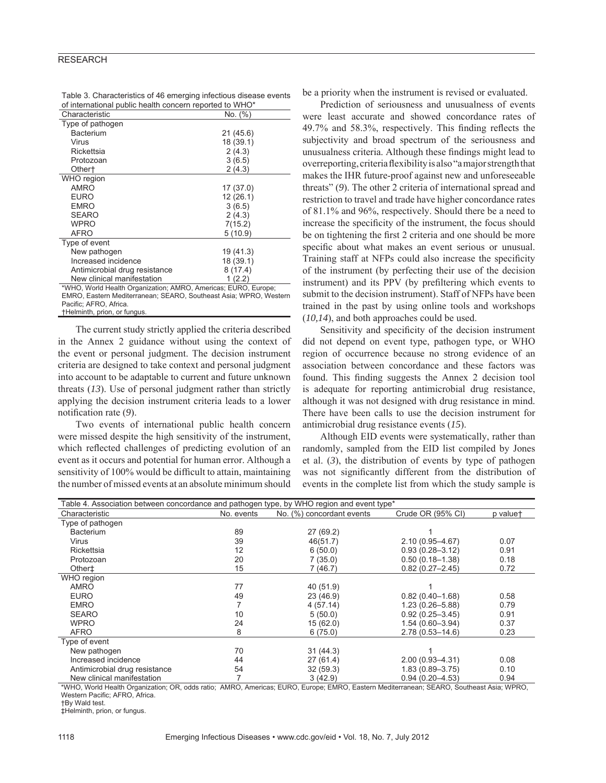### **RESEARCH**

| Table 3. Characteristics of 46 emerging infectious disease events |
|-------------------------------------------------------------------|
| of international public health concern reported to WHO*           |

| Characteristic                                                 | No. (%)   |  |  |  |
|----------------------------------------------------------------|-----------|--|--|--|
| Type of pathogen                                               |           |  |  |  |
| <b>Bacterium</b>                                               | 21 (45.6) |  |  |  |
| Virus                                                          | 18 (39.1) |  |  |  |
| Rickettsia                                                     | 2(4.3)    |  |  |  |
| Protozoan                                                      | 3(6.5)    |  |  |  |
| Other+                                                         | 2(4.3)    |  |  |  |
| <b>WHO</b> region                                              |           |  |  |  |
| AMRO                                                           | 17 (37.0) |  |  |  |
| <b>EURO</b>                                                    | 12(26.1)  |  |  |  |
| <b>EMRO</b>                                                    | 3(6.5)    |  |  |  |
| SEARO                                                          | 2(4.3)    |  |  |  |
| WPRO                                                           | 7(15.2)   |  |  |  |
| <b>AFRO</b>                                                    | 5(10.9)   |  |  |  |
| Type of event                                                  |           |  |  |  |
| New pathogen                                                   | 19 (41.3) |  |  |  |
| Increased incidence                                            | 18 (39.1) |  |  |  |
| Antimicrobial drug resistance                                  | 8(17.4)   |  |  |  |
| New clinical manifestation                                     | 1(2.2)    |  |  |  |
| *WHO, World Health Organization; AMRO, Americas; EURO, Europe; |           |  |  |  |

EMRO, Eastern Mediterranean; SEARO, Southeast Asia; WPRO, Western Pacific; AFRO, Africa. †Helminth, prion, or fungus.

The current study strictly applied the criteria described in the Annex 2 guidance without using the context of the event or personal judgment. The decision instrument criteria are designed to take context and personal judgment into account to be adaptable to current and future unknown threats (*13*). Use of personal judgment rather than strictly applying the decision instrument criteria leads to a lower notification rate (9).

Two events of international public health concern were missed despite the high sensitivity of the instrument, which reflected challenges of predicting evolution of an event as it occurs and potential for human error. Although a sensitivity of 100% would be difficult to attain, maintaining the number of missed events at an absolute minimum should be a priority when the instrument is revised or evaluated.

Prediction of seriousness and unusualness of events were least accurate and showed concordance rates of  $49.7\%$  and  $58.3\%$ , respectively. This finding reflects the subjectivity and broad spectrum of the seriousness and unusualness criteria. Although these findings might lead to overreporting, criteria flexibility is also "a major strength that makes the IHR future-proof against new and unforeseeable threats" (*9*). The other 2 criteria of international spread and restriction to travel and trade have higher concordance rates of 81.1% and 96%, respectively. Should there be a need to increase the specificity of the instrument, the focus should be on tightening the first 2 criteria and one should be more specific about what makes an event serious or unusual. Training staff at NFPs could also increase the specificity of the instrument (by perfecting their use of the decision instrument) and its PPV (by prefiltering which events to submit to the decision instrument). Staff of NFPs have been trained in the past by using online tools and workshops (*10,14*), and both approaches could be used.

Sensitivity and specificity of the decision instrument did not depend on event type, pathogen type, or WHO region of occurrence because no strong evidence of an association between concordance and these factors was found. This finding suggests the Annex 2 decision tool is adequate for reporting antimicrobial drug resistance, although it was not designed with drug resistance in mind. There have been calls to use the decision instrument for antimicrobial drug resistance events (*15*).

Although EID events were systematically, rather than randomly, sampled from the EID list compiled by Jones et al. (*3*), the distribution of events by type of pathogen was not significantly different from the distribution of events in the complete list from which the study sample is

| Table 4. Association between concordance and pathogen type, by WHO region and event type* |            |                           |                     |          |  |  |
|-------------------------------------------------------------------------------------------|------------|---------------------------|---------------------|----------|--|--|
| Characteristic                                                                            | No. events | No. (%) concordant events | Crude OR (95% CI)   | p valuet |  |  |
| Type of pathogen                                                                          |            |                           |                     |          |  |  |
| <b>Bacterium</b>                                                                          | 89         | 27(69.2)                  |                     |          |  |  |
| Virus                                                                                     | 39         | 46(51.7)                  | $2.10(0.95 - 4.67)$ | 0.07     |  |  |
| Rickettsia                                                                                | 12         | 6(50.0)                   | $0.93(0.28 - 3.12)$ | 0.91     |  |  |
| Protozoan                                                                                 | 20         | 7(35.0)                   | $0.50(0.18 - 1.38)$ | 0.18     |  |  |
| Other <sup>+</sup>                                                                        | 15         | 7(46.7)                   | $0.82(0.27 - 2.45)$ | 0.72     |  |  |
| WHO region                                                                                |            |                           |                     |          |  |  |
| <b>AMRO</b>                                                                               | 77         | 40 (51.9)                 |                     |          |  |  |
| <b>EURO</b>                                                                               | 49         | 23 (46.9)                 | $0.82(0.40 - 1.68)$ | 0.58     |  |  |
| <b>EMRO</b>                                                                               | 7          | 4(57.14)                  | $1.23(0.26 - 5.88)$ | 0.79     |  |  |
| <b>SEARO</b>                                                                              | 10         | 5(50.0)                   | $0.92(0.25 - 3.45)$ | 0.91     |  |  |
| <b>WPRO</b>                                                                               | 24         | 15(62.0)                  | $1.54(0.60 - 3.94)$ | 0.37     |  |  |
| <b>AFRO</b>                                                                               | 8          | 6(75.0)                   | $2.78(0.53 - 14.6)$ | 0.23     |  |  |
| Type of event                                                                             |            |                           |                     |          |  |  |
| New pathogen                                                                              | 70         | 31(44.3)                  |                     |          |  |  |
| Increased incidence                                                                       | 44         | 27(61.4)                  | $2.00(0.93 - 4.31)$ | 0.08     |  |  |
| Antimicrobial drug resistance                                                             | 54         | 32(59.3)                  | $1.83(0.89 - 3.75)$ | 0.10     |  |  |
| New clinical manifestation                                                                |            | 3(42.9)                   | $0.94(0.20 - 4.53)$ | 0.94     |  |  |

\*WHO, World Health Organization; OR, odds ratio; AMRO, Americas; EURO, Europe; EMRO, Eastern Mediterranean; SEARO, Southeast Asia; WPRO, Western Pacific; AFRO, Africa.

†By Wald test.

‡Helminth, prion, or fungus.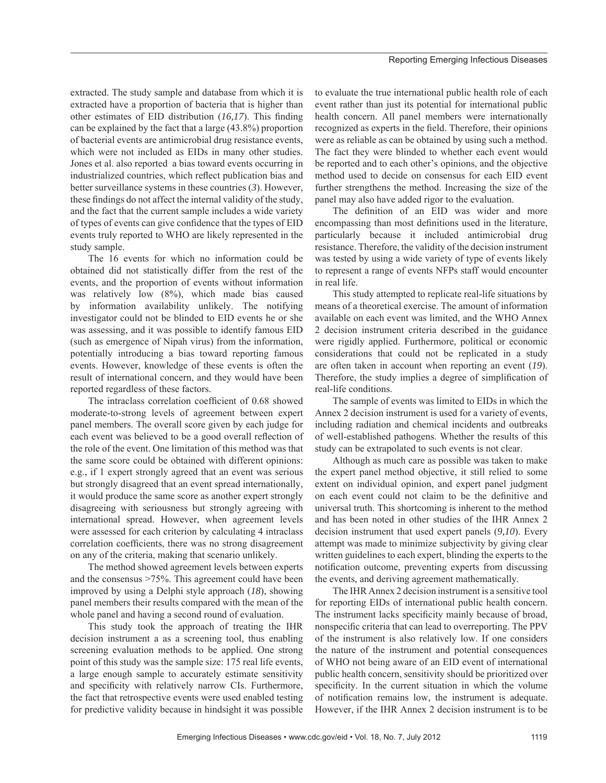extracted. The study sample and database from which it is extracted have a proportion of bacteria that is higher than other estimates of EID distribution  $(16,17)$ . This finding can be explained by the fact that a large (43.8%) proportion of bacterial events are antimicrobial drug resistance events, which were not included as EIDs in many other studies. Jones et al. also reported a bias toward events occurring in industrialized countries, which reflect publication bias and better surveillance systems in these countries (*3*). However, these findings do not affect the internal validity of the study, and the fact that the current sample includes a wide variety of types of events can give confidence that the types of EID events truly reported to WHO are likely represented in the study sample.

The 16 events for which no information could be obtained did not statistically differ from the rest of the events, and the proportion of events without information was relatively low (8%), which made bias caused by information availability unlikely. The notifying investigator could not be blinded to EID events he or she was assessing, and it was possible to identify famous EID (such as emergence of Nipah virus) from the information, potentially introducing a bias toward reporting famous events. However, knowledge of these events is often the result of international concern, and they would have been reported regardless of these factors.

The intraclass correlation coefficient of 0.68 showed moderate-to-strong levels of agreement between expert panel members. The overall score given by each judge for each event was believed to be a good overall reflection of the role of the event. One limitation of this method was that the same score could be obtained with different opinions: e.g., if 1 expert strongly agreed that an event was serious but strongly disagreed that an event spread internationally, it would produce the same score as another expert strongly disagreeing with seriousness but strongly agreeing with international spread. However, when agreement levels were assessed for each criterion by calculating 4 intraclass correlation coefficients, there was no strong disagreement on any of the criteria, making that scenario unlikely.

The method showed agreement levels between experts and the consensus >75%. This agreement could have been improved by using a Delphi style approach (*18*), showing panel members their results compared with the mean of the whole panel and having a second round of evaluation.

This study took the approach of treating the IHR decision instrument a as a screening tool, thus enabling screening evaluation methods to be applied. One strong point of this study was the sample size: 175 real life events, a large enough sample to accurately estimate sensitivity and specificity with relatively narrow CIs. Furthermore, the fact that retrospective events were used enabled testing for predictive validity because in hindsight it was possible to evaluate the true international public health role of each event rather than just its potential for international public health concern. All panel members were internationally recognized as experts in the field. Therefore, their opinions were as reliable as can be obtained by using such a method. The fact they were blinded to whether each event would be reported and to each other's opinions, and the objective method used to decide on consensus for each EID event further strengthens the method. Increasing the size of the panel may also have added rigor to the evaluation.

The definition of an EID was wider and more encompassing than most definitions used in the literature, particularly because it included antimicrobial drug resistance. Therefore, the validity of the decision instrument was tested by using a wide variety of type of events likely to represent a range of events NFPs staff would encounter in real life.

This study attempted to replicate real-life situations by means of a theoretical exercise. The amount of information available on each event was limited, and the WHO Annex 2 decision instrument criteria described in the guidance were rigidly applied. Furthermore, political or economic considerations that could not be replicated in a study are often taken in account when reporting an event (*19*). Therefore, the study implies a degree of simplification of real-life conditions.

The sample of events was limited to EIDs in which the Annex 2 decision instrument is used for a variety of events, including radiation and chemical incidents and outbreaks of well-established pathogens. Whether the results of this study can be extrapolated to such events is not clear.

Although as much care as possible was taken to make the expert panel method objective, it still relied to some extent on individual opinion, and expert panel judgment on each event could not claim to be the definitive and universal truth. This shortcoming is inherent to the method and has been noted in other studies of the IHR Annex 2 decision instrument that used expert panels (*9,10*). Every attempt was made to minimize subjectivity by giving clear written guidelines to each expert, blinding the experts to the notification outcome, preventing experts from discussing the events, and deriving agreement mathematically.

The IHR Annex 2 decision instrument is a sensitive tool for reporting EIDs of international public health concern. The instrument lacks specificity mainly because of broad, nonspecific criteria that can lead to overreporting. The PPV of the instrument is also relatively low. If one considers the nature of the instrument and potential consequences of WHO not being aware of an EID event of international public health concern, sensitivity should be prioritized over specificity. In the current situation in which the volume of notification remains low, the instrument is adequate. However, if the IHR Annex 2 decision instrument is to be